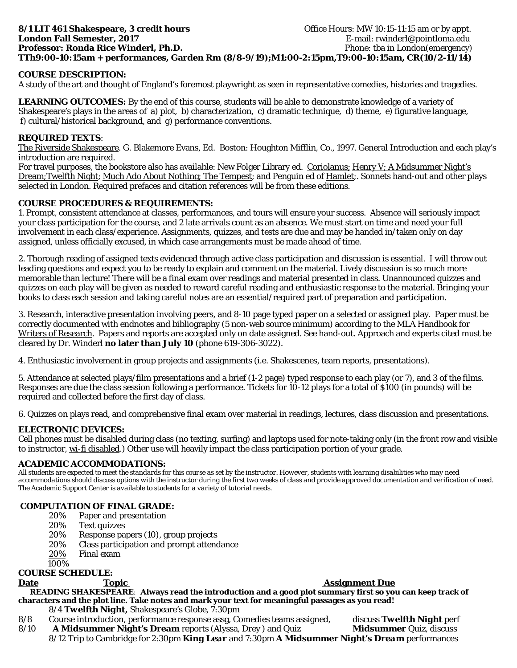# **8/1 LIT 461 Shakespeare, 3 credit hours but all the set of the Section Office Hours: MW 10:15-11:15 am or by appt. London Fall Semester, 2017 E-mail: rwinderl@pointloma.edu Professor: Ronda Rice Winderl, Ph.D.** Phone: tha in London(emergency) **TTh9:00-10:15am + performances, Garden Rm (8/8-9/19);M1:00-2:15pm,T9:00-10:15am, CR(10/2-11/14)**

# **COURSE DESCRIPTION:**

A study of the art and thought of England's foremost playwright as seen in representative comedies, histories and tragedies.

**LEARNING OUTCOMES:** By the end of this course, students will be able to demonstrate knowledge of a variety of Shakespeare's plays in the areas of a) plot, b) characterization, c) dramatic technique, d) theme, e) figurative language, f) cultural/historical background, and g) performance conventions.

## **REQUIRED TEXTS**:

The Riverside Shakespeare. G. Blakemore Evans, Ed. Boston: Houghton Mifflin, Co., 1997. General Introduction and each play's introduction are required.

For travel purposes, the bookstore also has available: New Folger Library ed. Coriolanus; Henry V; A Midsummer Night's Dream;Twelfth Night; Much Ado About Nothing; The Tempest; and Penguin ed of Hamlet;. Sonnets hand-out and other plays selected in London. Required prefaces and citation references will be from these editions.

### **COURSE PROCEDURES & REQUIREMENTS:**

1. Prompt, consistent attendance at classes, performances, and tours will ensure your success. Absence will seriously impact your class participation for the course, and 2 late arrivals count as an absence. We must start on time and need your full involvement in each class/experience. Assignments, quizzes, and tests are due and may be handed in/taken only on day assigned, unless officially excused, in which case arrangements must be made ahead of time.

2. Thorough reading of assigned texts evidenced through active class participation and discussion is essential. I will throw out leading questions and expect you to be ready to explain and comment on the material. Lively discussion is so much more memorable than lecture! There will be a final exam over readings and material presented in class. Unannounced quizzes and quizzes on each play will be given as needed to reward careful reading and enthusiastic response to the material. Bringing your books to class each session and taking careful notes are an essential/required part of preparation and participation.

3. Research, interactive presentation involving peers, and 8-10 page typed paper on a selected or assigned play. Paper must be correctly documented with endnotes and bibliography (5 non-web source minimum) according to the MLA Handbook for Writers of Research. Papers and reports are accepted only on date assigned. See hand-out. Approach and experts cited must be cleared by Dr. Winderl **no later than July 10** (phone 619-306-3022).

4. Enthusiastic involvement in group projects and assignments (i.e. Shakescenes, team reports, presentations).

5. Attendance at selected plays/film presentations and a brief (1-2 page) typed response to each play (or 7), and 3 of the films. Responses are due the class session following a performance. Tickets for 10-12 plays for a total of \$100 (in pounds) will be required and collected before the first day of class.

6. Quizzes on plays read, and comprehensive final exam over material in readings, lectures, class discussion and presentations.

### **ELECTRONIC DEVICES:**

Cell phones must be disabled during class (no texting, surfing) and laptops used for note-taking only (in the front row and visible to instructor, wi-fi disabled.) Other use will heavily impact the class participation portion of your grade.

# **ACADEMIC ACCOMMODATIONS:**

*All students are expected to meet the standards for this course as set by the instructor. However, students with learning disabilities who may need accommodations should discuss options with the instructor during the first two weeks of class and provide approved documentation and verification of need. The Academic Support Center is available to students for a variety of tutorial needs.*

### **COMPUTATION OF FINAL GRADE:**

- 20% Paper and presentation<br>20% Text quizzes
- 20% Text quizzes<br>20% Response pa
- 20% Response papers (10), group projects<br>20% Class participation and prompt attend
- Class participation and prompt attendance
- 20% Final exam

100%

## **COURSE SCHEDULE:**

## **Date Topic Community Community Assignment Due**

 **READING SHAKESPEARE**: **Always read the introduction and a good plot summary first so you can keep track of characters and the plot line. Take notes and mark your text for meaningful passages as you read!**

- 8/4 *Twelfth Night,* Shakespeare's Globe, 7:30pm
- 8/8 Course introduction, performance response assg, Comedies teams assigned, discuss *Twelfth Night* perf
- 8/10 **A** *Midsummer* **Night's Dream** reports (Alyssa, Drey ) and Quiz *Midsummer* Quiz, discuss 8/12 Trip to Cambridge for 2:30pm *King Lear* and 7:30pm *A Midsummer Night's Dream* performances